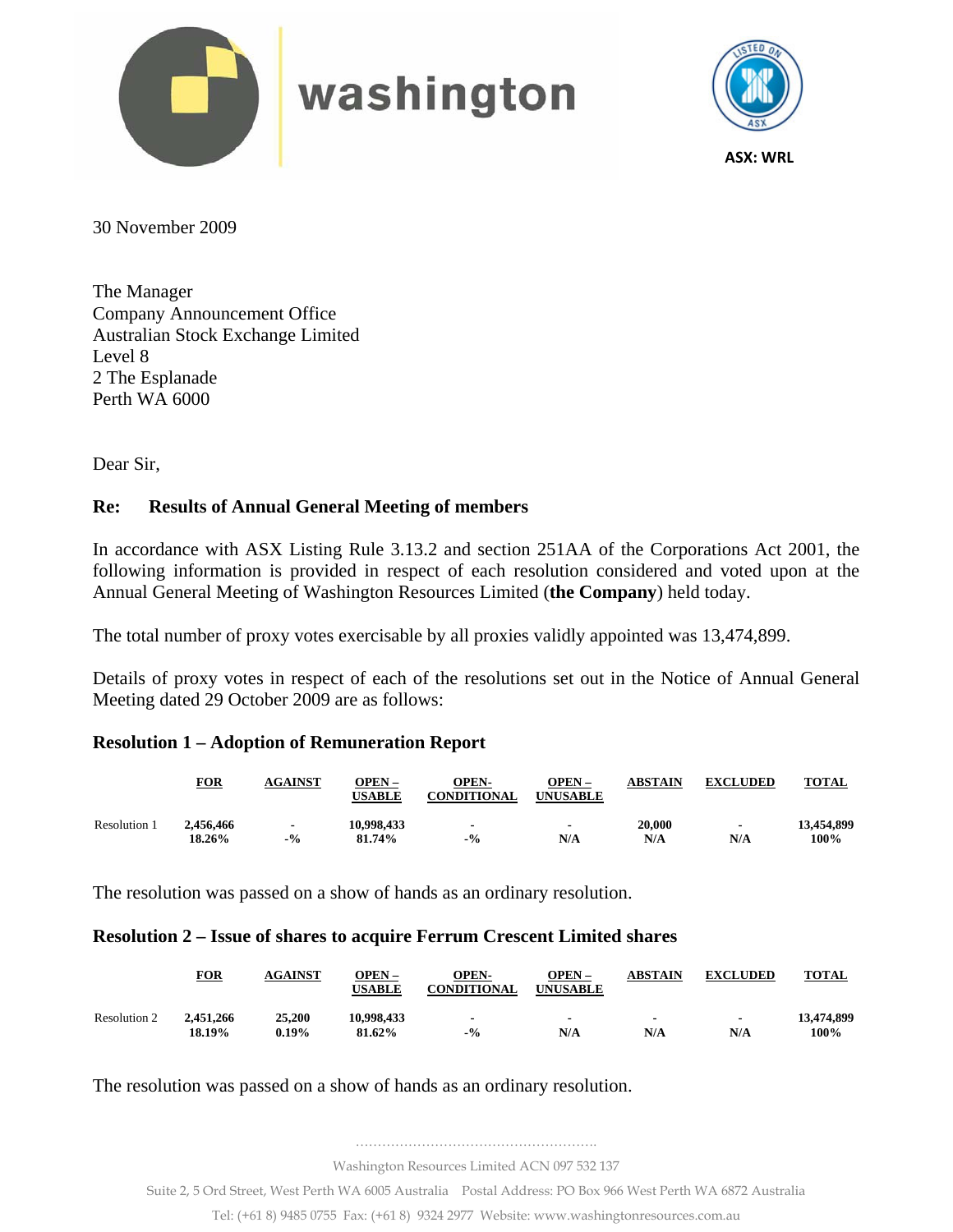

# washington



**ASX: WRL**

30 November 2009

The Manager Company Announcement Office Australian Stock Exchange Limited Level 8 2 The Esplanade Perth WA 6000

Dear Sir,

# **Re: Results of Annual General Meeting of members**

In accordance with ASX Listing Rule 3.13.2 and section 251AA of the Corporations Act 2001, the following information is provided in respect of each resolution considered and voted upon at the Annual General Meeting of Washington Resources Limited (**the Company**) held today.

The total number of proxy votes exercisable by all proxies validly appointed was 13,474,899.

Details of proxy votes in respect of each of the resolutions set out in the Notice of Annual General Meeting dated 29 October 2009 are as follows:

# **Resolution 1 – Adoption of Remuneration Report**

|              | FOR       | <b>AGAINST</b> | $OPEN -$<br>USABLE | <b>OPEN-</b><br><b>CONDITIONAL</b> | $OPEN -$<br><b>UNUSABLE</b> | <b>ABSTAIN</b> | <b>EXCLUDED</b> | <b>TOTAL</b> |
|--------------|-----------|----------------|--------------------|------------------------------------|-----------------------------|----------------|-----------------|--------------|
| Resolution 1 | 2.456.466 | $\blacksquare$ | 10.998.433         | $\overline{\phantom{a}}$           | $\blacksquare$              | 20,000         | $\blacksquare$  | 13.454.899   |
|              | 18.26%    | $-9/0$         | 81.74%             | $-9/0$                             | N/A                         | N/A            | N/A             | 100%         |

The resolution was passed on a show of hands as an ordinary resolution.

# **Resolution 2 – Issue of shares to acquire Ferrum Crescent Limited shares**

|              | <b>FOR</b>          | <b>AGAINST</b>     | OPEN –<br>USABLE     | <b>OPEN-</b><br><b>CONDITIONAL</b> | <b>OPEN –</b><br><b>UNUSABLE</b> | <b>ABSTAIN</b> | <b>EXCLUDED</b>                 | <b>TOTAL</b>       |
|--------------|---------------------|--------------------|----------------------|------------------------------------|----------------------------------|----------------|---------------------------------|--------------------|
| Resolution 2 | 2.451,266<br>18.19% | 25,200<br>$0.19\%$ | 10.998.433<br>81.62% | $\blacksquare$<br>$-9/0$           | $\blacksquare$<br>N/A            | N/A            | $\overline{\phantom{a}}$<br>N/A | 13,474,899<br>100% |

The resolution was passed on a show of hands as an ordinary resolution.

……………………………………………….

Washington Resources Limited ACN 097 532 137

Suite 2, 5 Ord Street, West Perth WA 6005 Australia Postal Address: PO Box 966 West Perth WA 6872 Australia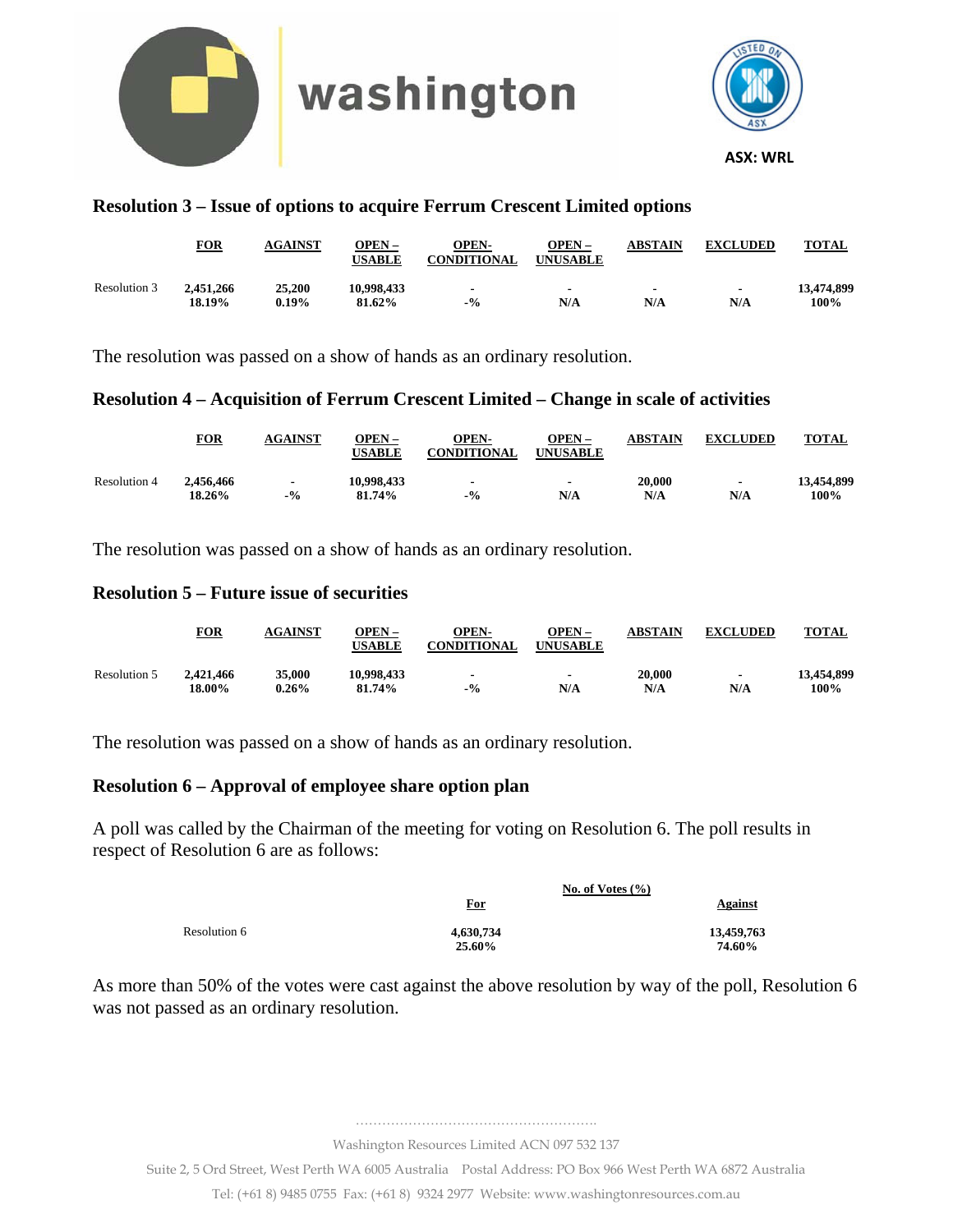

washington



**ASX: WRL**

## **Resolution 3 – Issue of options to acquire Ferrum Crescent Limited options**

|                     | FOR       | <b>AGAINST</b> | $OPEN -$<br>USABLE | OPEN-<br><b>CONDITIONAL</b> | <b>OPEN –</b><br><b>UNUSABLE</b> | <b>ABSTAIN</b> | <b>EXCLUDED</b> | <b>TOTAL</b> |
|---------------------|-----------|----------------|--------------------|-----------------------------|----------------------------------|----------------|-----------------|--------------|
| <b>Resolution 3</b> | 2.451.266 | 25,200         | 10.998.433         | $\blacksquare$              | $\overline{\phantom{0}}$         |                | $\blacksquare$  | 13,474,899   |
|                     | 18.19%    | $0.19\%$       | 81.62%             | $-9/0$                      | N/A                              | N/A            | N/A             | 100%         |

The resolution was passed on a show of hands as an ordinary resolution.

## **Resolution 4 – Acquisition of Ferrum Crescent Limited – Change in scale of activities**

|              | <u>FOR</u> | <b>AGAINST</b> | OPEN –<br>USABLE | OPEN-<br><b>CONDITIONAL</b> | OPEN –<br>UNUSABLE | <b>ABSTAIN</b> | <b>EXCLUDED</b>          | <b>TOTAL</b> |
|--------------|------------|----------------|------------------|-----------------------------|--------------------|----------------|--------------------------|--------------|
| Resolution 4 | 2.456,466  | $\blacksquare$ | 10.998.433       | $\blacksquare$              | $\blacksquare$     | 20,000         | $\overline{\phantom{0}}$ | 13,454,899   |
|              | 18.26%     | $-9/0$         | 81.74%           | $-9/0$                      | N/A                | N/A            | N/A                      | 100%         |

The resolution was passed on a show of hands as an ordinary resolution.

#### **Resolution 5 – Future issue of securities**

|                     | <u>FOR</u> | <b>AGAINST</b> | OPEN –<br><b>USABLE</b> | <b>OPEN-</b><br><b>CONDITIONAL</b> | OPEN –<br>UNUSABLE       | <b>ABSTAIN</b> | <b>EXCLUDED</b> | <b>TOTAL</b> |
|---------------------|------------|----------------|-------------------------|------------------------------------|--------------------------|----------------|-----------------|--------------|
| <b>Resolution 5</b> | 2.421.466  | 35,000         | 10.998.433              | $\overline{\phantom{0}}$           | $\overline{\phantom{0}}$ | 20,000         | $\blacksquare$  | 13,454,899   |
|                     | 18.00%     | $0.26\%$       | 81.74%                  | $-9/0$                             | N/A                      | N/A            | N/A             | 100%         |

The resolution was passed on a show of hands as an ordinary resolution.

#### **Resolution 6 – Approval of employee share option plan**

A poll was called by the Chairman of the meeting for voting on Resolution 6. The poll results in respect of Resolution 6 are as follows:

|              | No. of Votes $(\% )$ |                |
|--------------|----------------------|----------------|
|              | <u>For</u>           | <b>Against</b> |
| Resolution 6 | 4,630,734            | 13,459,763     |
|              | 25.60%               | 74.60%         |

As more than 50% of the votes were cast against the above resolution by way of the poll, Resolution 6 was not passed as an ordinary resolution.

……………………………………………….

Washington Resources Limited ACN 097 532 137

Suite 2, 5 Ord Street, West Perth WA 6005 Australia Postal Address: PO Box 966 West Perth WA 6872 Australia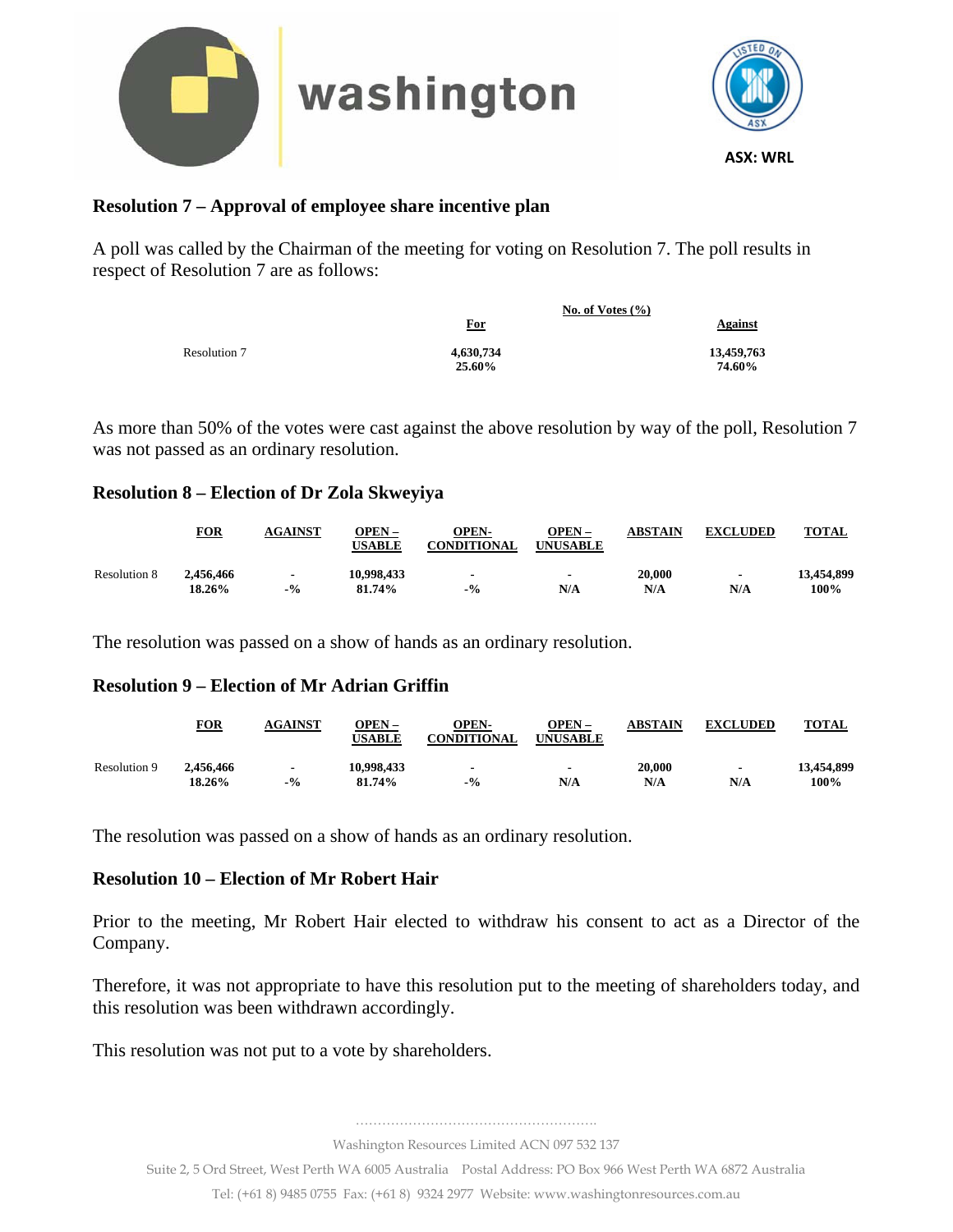



# **Resolution 7 – Approval of employee share incentive plan**

A poll was called by the Chairman of the meeting for voting on Resolution 7. The poll results in respect of Resolution 7 are as follows:

|                     | No. of Votes $(\% )$ |                      |
|---------------------|----------------------|----------------------|
|                     | <u>For</u>           | <b>Against</b>       |
| <b>Resolution 7</b> | 4,630,734<br>25.60%  | 13,459,763<br>74.60% |

As more than 50% of the votes were cast against the above resolution by way of the poll, Resolution 7 was not passed as an ordinary resolution.

## **Resolution 8 – Election of Dr Zola Skweyiya**

|              | FOR       | <b>AGAINST</b>           | OPEN –<br>USABLE | <b>OPEN-</b><br><b>CONDITIONAL</b> | <b>OPEN</b> –<br><b>UNUSABLE</b> | <b>ABSTAIN</b> | <b>EXCLUDED</b> | <b>TOTAL</b> |
|--------------|-----------|--------------------------|------------------|------------------------------------|----------------------------------|----------------|-----------------|--------------|
| Resolution 8 | 2,456,466 | $\overline{\phantom{0}}$ | 10.998.433       | $\overline{\phantom{0}}$           | $\sim$                           | 20,000         | $\blacksquare$  | 13.454.899   |
|              | 18.26%    | $-9/0$                   | 81.74%           | $-9/0$                             | N/A                              | N/A            | N/A             | 100%         |

The resolution was passed on a show of hands as an ordinary resolution.

# **Resolution 9 – Election of Mr Adrian Griffin**

|              | <b>FOR</b> | <b>AGAINST</b> | OPEN –<br>USABLE | OPEN-<br><b>CONDITIONAL</b> | <b>OPEN –</b><br><b>UNUSABLE</b> | <b>ABSTAIN</b> | <b>EXCLUDED</b> | <b>TOTAL</b> |
|--------------|------------|----------------|------------------|-----------------------------|----------------------------------|----------------|-----------------|--------------|
| Resolution 9 | 2.456.466  | $\blacksquare$ | 10,998,433       |                             | $\blacksquare$                   | 20,000         | $\blacksquare$  | 13,454,899   |
|              | 18.26%     | $-9/0$         | 81.74%           | $-9/0$                      | N/A                              | N/A            | N/A             | 100%         |

The resolution was passed on a show of hands as an ordinary resolution.

#### **Resolution 10 – Election of Mr Robert Hair**

Prior to the meeting, Mr Robert Hair elected to withdraw his consent to act as a Director of the Company.

Therefore, it was not appropriate to have this resolution put to the meeting of shareholders today, and this resolution was been withdrawn accordingly.

This resolution was not put to a vote by shareholders.

……………………………………………….

Washington Resources Limited ACN 097 532 137

Suite 2, 5 Ord Street, West Perth WA 6005 Australia Postal Address: PO Box 966 West Perth WA 6872 Australia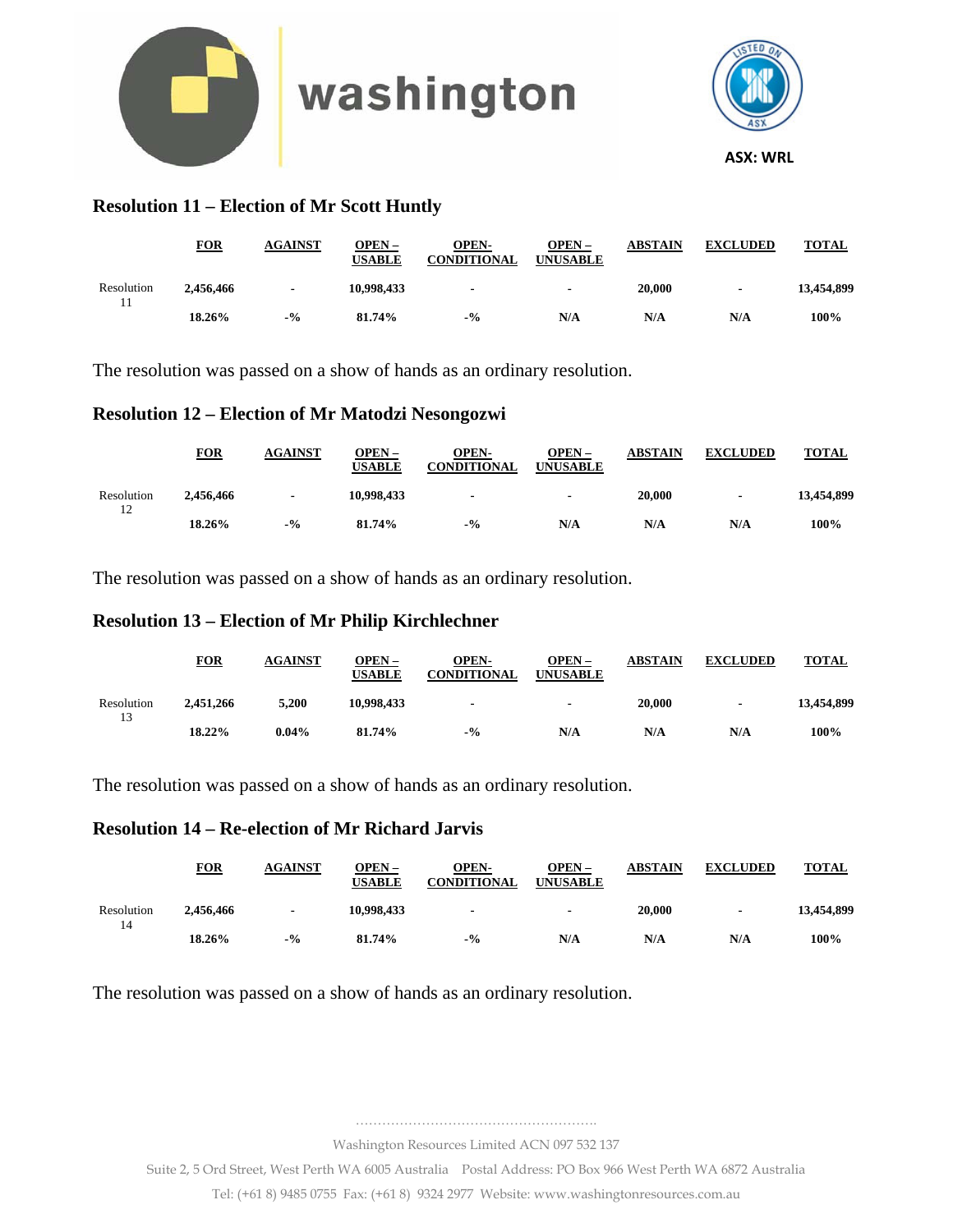

**The Washington** 



**ASX: WRL**

# **Resolution 11 – Election of Mr Scott Huntly**

|                  | <b>FOR</b> | <b>AGAINST</b> | OPEN –<br><b>USABLE</b> | OPEN-<br><b>CONDITIONAL</b> | OPEN –<br><b>UNUSABLE</b> | <b>ABSTAIN</b> | <b>EXCLUDED</b> | <b>TOTAL</b> |
|------------------|------------|----------------|-------------------------|-----------------------------|---------------------------|----------------|-----------------|--------------|
| Resolution<br>11 | 2.456.466  | $\blacksquare$ | 10,998,433              | $\blacksquare$              | $\blacksquare$            | 20,000         | $\overline{a}$  | 13,454,899   |
|                  | 18.26%     | $-9/0$         | 81.74%                  | $-9/0$                      | N/A                       | N/A            | N/A             | 100%         |

The resolution was passed on a show of hands as an ordinary resolution.

## **Resolution 12 – Election of Mr Matodzi Nesongozwi**

|                  | <b>FOR</b> | <b>AGAINST</b> | OPEN –<br><b>USABLE</b> | <b>OPEN-</b><br><b>CONDITIONAL</b> | OPEN-<br><b>UNUSABLE</b> | <b>ABSTAIN</b> | <b>EXCLUDED</b> | <b>TOTAL</b> |
|------------------|------------|----------------|-------------------------|------------------------------------|--------------------------|----------------|-----------------|--------------|
| Resolution<br>12 | 2.456.466  | ٠              | 10.998.433              | $\blacksquare$                     | $\blacksquare$           | 20,000         | $\blacksquare$  | 13.454.899   |
|                  | 18.26%     | $-9/0$         | 81.74%                  | $-9/0$                             | N/A                      | N/A            | N/A             | 100%         |

The resolution was passed on a show of hands as an ordinary resolution.

#### **Resolution 13 – Election of Mr Philip Kirchlechner**

|                  | <b>FOR</b> | <b>AGAINST</b> | OPEN –<br><b>USABLE</b> | <b>OPEN-</b><br><b>CONDITIONAL</b> | OPEN –<br><b>UNUSABLE</b> | <b>ABSTAIN</b> | <b>EXCLUDED</b> | <b>TOTAL</b> |
|------------------|------------|----------------|-------------------------|------------------------------------|---------------------------|----------------|-----------------|--------------|
| Resolution<br>13 | 2.451.266  | 5.200          | 10.998.433              |                                    |                           | 20,000         | $\blacksquare$  | 13.454.899   |
|                  | 18.22%     | $0.04\%$       | 81.74%                  | $-9/0$                             | N/A                       | N/A            | N/A             | 100%         |

The resolution was passed on a show of hands as an ordinary resolution.

#### **Resolution 14 – Re-election of Mr Richard Jarvis**

|                  | <b>FOR</b> | <b>AGAINST</b> | OPEN –<br><b>USABLE</b> | <b>OPEN-</b><br><b>CONDITIONAL</b> | OPEN –<br><b>UNUSABLE</b> | <b>ABSTAIN</b> | <b>EXCLUDED</b> | <b>TOTAL</b> |
|------------------|------------|----------------|-------------------------|------------------------------------|---------------------------|----------------|-----------------|--------------|
| Resolution<br>14 | 2.456.466  | $\blacksquare$ | 10.998.433              | $\blacksquare$                     | $\overline{\phantom{a}}$  | 20,000         | $\blacksquare$  | 13,454,899   |
|                  | 18.26%     | $-9/0$         | 81.74%                  | $-9/0$                             | N/A                       | N/A            | N/A             | 100%         |

The resolution was passed on a show of hands as an ordinary resolution.

……………………………………………….

Washington Resources Limited ACN 097 532 137

Suite 2, 5 Ord Street, West Perth WA 6005 Australia Postal Address: PO Box 966 West Perth WA 6872 Australia